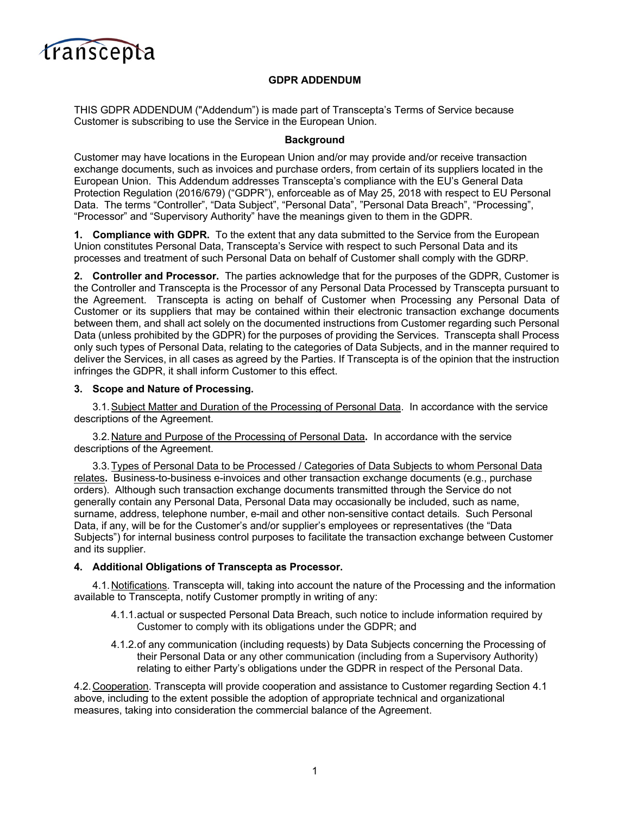

## **GDPR ADDENDUM**

THIS GDPR ADDENDUM ("Addendum") is made part of Transcepta's Terms of Service because Customer is subscribing to use the Service in the European Union.

## **Background**

Customer may have locations in the European Union and/or may provide and/or receive transaction exchange documents, such as invoices and purchase orders, from certain of its suppliers located in the European Union. This Addendum addresses Transcepta's compliance with the EU's General Data Protection Regulation (2016/679) ("GDPR"), enforceable as of May 25, 2018 with respect to EU Personal Data. The terms "Controller", "Data Subject", "Personal Data", "Personal Data Breach", "Processing", "Processor" and "Supervisory Authority" have the meanings given to them in the GDPR.

**1. Compliance with GDPR.** To the extent that any data submitted to the Service from the European Union constitutes Personal Data, Transcepta's Service with respect to such Personal Data and its processes and treatment of such Personal Data on behalf of Customer shall comply with the GDRP.

**2. Controller and Processor.** The parties acknowledge that for the purposes of the GDPR, Customer is the Controller and Transcepta is the Processor of any Personal Data Processed by Transcepta pursuant to the Agreement. Transcepta is acting on behalf of Customer when Processing any Personal Data of Customer or its suppliers that may be contained within their electronic transaction exchange documents between them, and shall act solely on the documented instructions from Customer regarding such Personal Data (unless prohibited by the GDPR) for the purposes of providing the Services. Transcepta shall Process only such types of Personal Data, relating to the categories of Data Subjects, and in the manner required to deliver the Services, in all cases as agreed by the Parties. If Transcepta is of the opinion that the instruction infringes the GDPR, it shall inform Customer to this effect.

## **3. Scope and Nature of Processing.**

3.1.Subject Matter and Duration of the Processing of Personal Data. In accordance with the service descriptions of the Agreement.

3.2.Nature and Purpose of the Processing of Personal Data**.** In accordance with the service descriptions of the Agreement.

3.3.Types of Personal Data to be Processed / Categories of Data Subjects to whom Personal Data relates**.** Business-to-business e-invoices and other transaction exchange documents (e.g., purchase orders). Although such transaction exchange documents transmitted through the Service do not generally contain any Personal Data, Personal Data may occasionally be included, such as name, surname, address, telephone number, e-mail and other non-sensitive contact details. Such Personal Data, if any, will be for the Customer's and/or supplier's employees or representatives (the "Data Subjects") for internal business control purposes to facilitate the transaction exchange between Customer and its supplier.

## **4. Additional Obligations of Transcepta as Processor.**

4.1.Notifications. Transcepta will, taking into account the nature of the Processing and the information available to Transcepta, notify Customer promptly in writing of any:

- 4.1.1.actual or suspected Personal Data Breach, such notice to include information required by Customer to comply with its obligations under the GDPR; and
- 4.1.2.of any communication (including requests) by Data Subjects concerning the Processing of their Personal Data or any other communication (including from a Supervisory Authority) relating to either Party's obligations under the GDPR in respect of the Personal Data.

4.2.Cooperation. Transcepta will provide cooperation and assistance to Customer regarding Section 4.1 above, including to the extent possible the adoption of appropriate technical and organizational measures, taking into consideration the commercial balance of the Agreement.